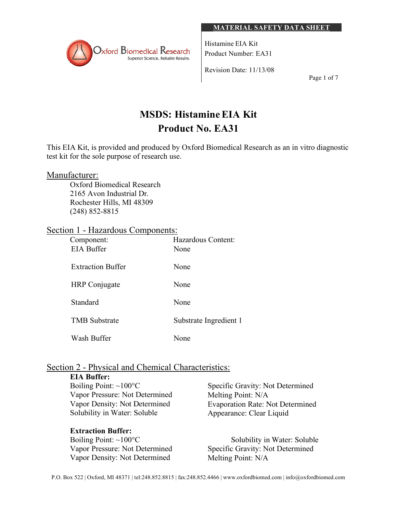

Histamine EIA Kit Product Number: EA31

Revision Date: 11/13/08

Page 1 of 7

# **MSDS: HistamineEIA Kit Product No. EA31**

This EIA Kit, is provided and produced by Oxford Biomedical Research as an in vitro diagnostic test kit for the sole purpose of research use.

# Manufacturer:

Oxford Biomedical Research 2165 Avon Industrial Dr. Rochester Hills, MI 48309 (248) 852-8815

# Section 1 - Hazardous Components:

| Component:<br><b>EIA Buffer</b> | Hazardous Content:<br>None |
|---------------------------------|----------------------------|
| <b>Extraction Buffer</b>        | None                       |
| <b>HRP</b> Conjugate            | None                       |
| Standard                        | None                       |
| <b>TMB</b> Substrate            | Substrate Ingredient 1     |
| Wash Buffer                     | None                       |

# Section 2 - Physical and Chemical Characteristics:

#### **EIA Buffer:** Boiling Point: ~100°C Vapor Pressure: Not Determined Vapor Density: Not Determined Solubility in Water: Soluble Specific Gravity: Not Determined Melting Point: N/A Appearance: Clear Liquid

# **Extraction Buffer:** Boiling Point:  $\sim 100^{\circ}$ C Vapor Pressure: Not Determined Vapor Density: Not Determined

Evaporation Rate: Not Determined

Solubility in Water: Soluble Specific Gravity: Not Determined Melting Point: N/A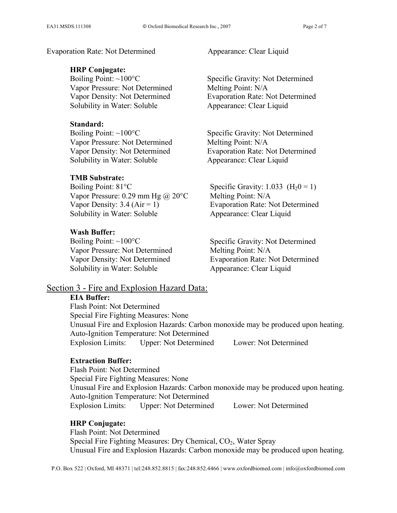Evaporation Rate: Not Determined Appearance: Clear Liquid

#### **HRP Conjugate:**

Boiling Point: ~100°C Vapor Pressure: Not Determined Vapor Density: Not Determined Solubility in Water: Soluble

#### **Standard:**

Boiling Point: ~100°C Vapor Pressure: Not Determined Vapor Density: Not Determined Solubility in Water: Soluble

# **TMB Substrate:**

Boiling Point: 81°C Vapor Pressure: 0.29 mm Hg  $\omega$  20 °C Vapor Density:  $3.4$  (Air = 1) Solubility in Water: Soluble

#### **Wash Buffer:**

Boiling Point:  $\sim 100^{\circ}$ C Vapor Pressure: Not Determined Vapor Density: Not Determined Solubility in Water: Soluble

Specific Gravity: Not Determined Melting Point: N/A Evaporation Rate: Not Determined Appearance: Clear Liquid

Specific Gravity: Not Determined Melting Point: N/A Evaporation Rate: Not Determined Appearance: Clear Liquid

Specific Gravity:  $1.033$  (H<sub>2</sub>0 = 1) Melting Point: N/A Evaporation Rate: Not Determined Appearance: Clear Liquid

Specific Gravity: Not Determined Melting Point: N/A Evaporation Rate: Not Determined Appearance: Clear Liquid

# Section 3 - Fire and Explosion Hazard Data:

#### **EIA Buffer:**

Flash Point: Not Determined Special Fire Fighting Measures: None Unusual Fire and Explosion Hazards: Carbon monoxide may be produced upon heating. Auto-Ignition Temperature: Not Determined Explosion Limits: Upper: Not Determined Lower: Not Determined

# **Extraction Buffer:**

Flash Point: Not Determined Special Fire Fighting Measures: None Unusual Fire and Explosion Hazards: Carbon monoxide may be produced upon heating. Auto-Ignition Temperature: Not Determined Explosion Limits: Upper: Not Determined Lower: Not Determined

#### **HRP Conjugate:**

Flash Point: Not Determined Special Fire Fighting Measures: Dry Chemical, CO<sub>2</sub>, Water Spray Unusual Fire and Explosion Hazards: Carbon monoxide may be produced upon heating.

P.O. Box 522 | Oxford, MI 48371 | tel:248.852.8815 | fax:248.852.4466 | www.oxfordbiomed.com | info@oxfordbiomed.com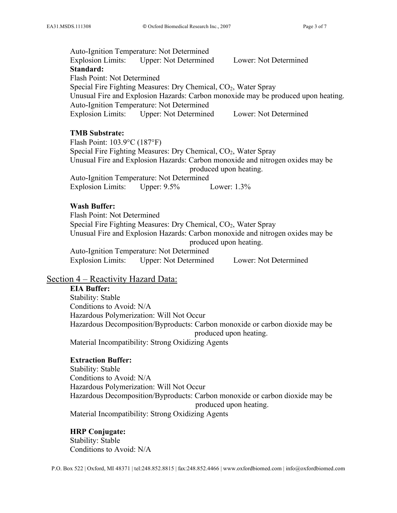Auto-Ignition Temperature: Not Determined Explosion Limits: Upper: Not Determined Lower: Not Determined **Standard:** Flash Point: Not Determined Special Fire Fighting Measures: Dry Chemical, CO<sub>2</sub>, Water Spray Unusual Fire and Explosion Hazards: Carbon monoxide may be produced upon heating. Auto-Ignition Temperature: Not Determined Explosion Limits: Upper: Not Determined Lower: Not Determined

# **TMB Substrate:**

Flash Point: 103.9°C (187°F) Special Fire Fighting Measures: Dry Chemical,  $CO<sub>2</sub>$ , Water Spray Unusual Fire and Explosion Hazards: Carbon monoxide and nitrogen oxides may be produced upon heating. Auto-Ignition Temperature: Not Determined Explosion Limits: Upper: 9.5% Lower: 1.3%

### **Wash Buffer:**

Flash Point: Not Determined Special Fire Fighting Measures: Dry Chemical,  $CO<sub>2</sub>$ , Water Spray Unusual Fire and Explosion Hazards: Carbon monoxide and nitrogen oxides may be produced upon heating. Auto-Ignition Temperature: Not Determined Explosion Limits: Upper: Not Determined Lower: Not Determined

# Section 4 – Reactivity Hazard Data:

# **EIA Buffer:**

Stability: Stable Conditions to Avoid: N/A Hazardous Polymerization: Will Not Occur Hazardous Decomposition/Byproducts: Carbon monoxide or carbon dioxide may be produced upon heating. Material Incompatibility: Strong Oxidizing Agents

# **Extraction Buffer:**

Stability: Stable Conditions to Avoid: N/A Hazardous Polymerization: Will Not Occur Hazardous Decomposition/Byproducts: Carbon monoxide or carbon dioxide may be produced upon heating. Material Incompatibility: Strong Oxidizing Agents

#### **HRP Conjugate:**

Stability: Stable Conditions to Avoid: N/A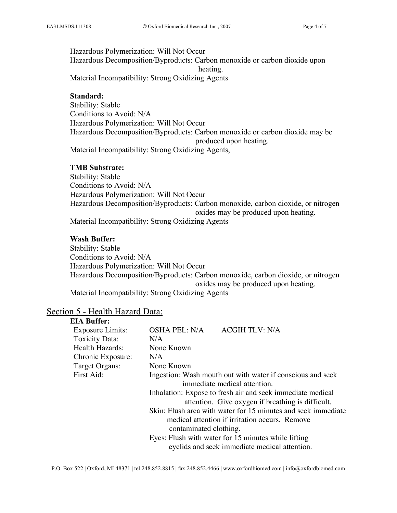Hazardous Polymerization: Will Not Occur Hazardous Decomposition/Byproducts: Carbon monoxide or carbon dioxide upon heating. Material Incompatibility: Strong Oxidizing Agents

**Standard:**

Stability: Stable Conditions to Avoid: N/A Hazardous Polymerization: Will Not Occur Hazardous Decomposition/Byproducts: Carbon monoxide or carbon dioxide may be produced upon heating. Material Incompatibility: Strong Oxidizing Agents,

#### **TMB Substrate:**

Stability: Stable Conditions to Avoid: N/A Hazardous Polymerization: Will Not Occur Hazardous Decomposition/Byproducts: Carbon monoxide, carbon dioxide, or nitrogen oxides may be produced upon heating. Material Incompatibility: Strong Oxidizing Agents

#### **Wash Buffer:**

Stability: Stable Conditions to Avoid: N/A Hazardous Polymerization: Will Not Occur Hazardous Decomposition/Byproducts: Carbon monoxide, carbon dioxide, or nitrogen oxides may be produced upon heating.

Material Incompatibility: Strong Oxidizing Agents

#### Section 5 - Health Hazard Data: **EIA Buffer:**

| LIA Buher:              |                                                                                                                                           |                                                                                                                 |
|-------------------------|-------------------------------------------------------------------------------------------------------------------------------------------|-----------------------------------------------------------------------------------------------------------------|
| <b>Exposure Limits:</b> | OSHA PEL: N/A                                                                                                                             | <b>ACGIH TLV: N/A</b>                                                                                           |
| <b>Toxicity Data:</b>   | N/A                                                                                                                                       |                                                                                                                 |
| <b>Health Hazards:</b>  | None Known                                                                                                                                |                                                                                                                 |
| Chronic Exposure:       | N/A                                                                                                                                       |                                                                                                                 |
| Target Organs:          | None Known                                                                                                                                |                                                                                                                 |
| First Aid:              | Ingestion: Wash mouth out with water if conscious and seek<br>immediate medical attention.                                                |                                                                                                                 |
|                         |                                                                                                                                           | Inhalation: Expose to fresh air and seek immediate medical<br>attention. Give oxygen if breathing is difficult. |
|                         | Skin: Flush area with water for 15 minutes and seek immediate<br>medical attention if irritation occurs. Remove<br>contaminated clothing. |                                                                                                                 |
|                         |                                                                                                                                           | Eyes: Flush with water for 15 minutes while lifting<br>eyelids and seek immediate medical attention.            |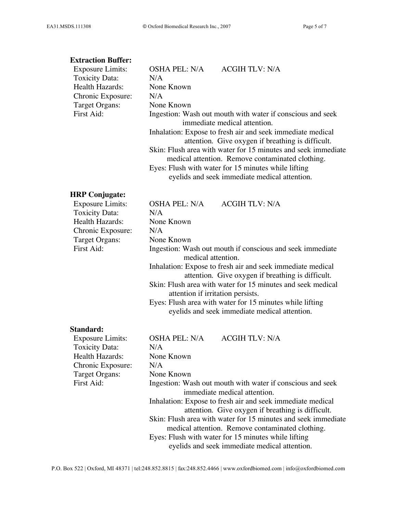#### **Extraction Buffer:**

| <b>Exposure Limits:</b> | <b>OSHA PEL: N/A</b>                                       | <b>ACGIH TLV: N/A</b>                                         |
|-------------------------|------------------------------------------------------------|---------------------------------------------------------------|
| <b>Toxicity Data:</b>   | N/A                                                        |                                                               |
| Health Hazards:         | None Known                                                 |                                                               |
| Chronic Exposure:       | N/A                                                        |                                                               |
| Target Organs:          | None Known                                                 |                                                               |
| First Aid:              | Ingestion: Wash out mouth with water if conscious and seek |                                                               |
|                         |                                                            | immediate medical attention.                                  |
|                         |                                                            | Inhalation: Expose to fresh air and seek immediate medical    |
|                         |                                                            | attention. Give oxygen if breathing is difficult.             |
|                         |                                                            | Skin: Flush area with water for 15 minutes and seek immediate |
|                         |                                                            | medical attention. Remove contaminated clothing.              |
|                         |                                                            | Eyes: Flush with water for 15 minutes while lifting           |
|                         |                                                            | eyelids and seek immediate medical attention.                 |

# **HRP Conjugate:**

| Exposure Limits:      | <b>ACGIH TLV: N/A</b><br><b>OSHA PEL: N/A</b>                                                                   |  |
|-----------------------|-----------------------------------------------------------------------------------------------------------------|--|
| <b>Toxicity Data:</b> | N/A                                                                                                             |  |
| Health Hazards:       | None Known                                                                                                      |  |
| Chronic Exposure:     | N/A                                                                                                             |  |
| Target Organs:        | None Known                                                                                                      |  |
| First Aid:            | Ingestion: Wash out mouth if conscious and seek immediate<br>medical attention.                                 |  |
|                       | Inhalation: Expose to fresh air and seek immediate medical<br>attention. Give oxygen if breathing is difficult. |  |
|                       | Skin: Flush area with water for 15 minutes and seek medical<br>attention if irritation persists.                |  |
|                       | $\mathbf{r}$ , $\mathbf{r}$ , $\mathbf{r}$ , $\mathbf{r}$ , $\mathbf{r}$ , $\mathbf{r}$ , $\mathbf{r}$          |  |

Eyes: Flush area with water for 15 minutes while lifting eyelids and seek immediate medical attention.

#### **Standard:**

| <b>Exposure Limits:</b> | <b>OSHA PEL: N/A</b><br><b>ACGIH TLV: N/A</b>                                              |  |
|-------------------------|--------------------------------------------------------------------------------------------|--|
| <b>Toxicity Data:</b>   | N/A                                                                                        |  |
| Health Hazards:         | None Known                                                                                 |  |
| Chronic Exposure:       | N/A                                                                                        |  |
| Target Organs:          | None Known                                                                                 |  |
| First Aid:              | Ingestion: Wash out mouth with water if conscious and seek<br>immediate medical attention. |  |
|                         |                                                                                            |  |
|                         | Inhalation: Expose to fresh air and seek immediate medical                                 |  |
|                         | attention. Give oxygen if breathing is difficult.                                          |  |
|                         | Skin: Flush area with water for 15 minutes and seek immediate                              |  |
|                         | medical attention. Remove contaminated clothing.                                           |  |
|                         | Eyes: Flush with water for 15 minutes while lifting                                        |  |
|                         | eyelids and seek immediate medical attention.                                              |  |
|                         |                                                                                            |  |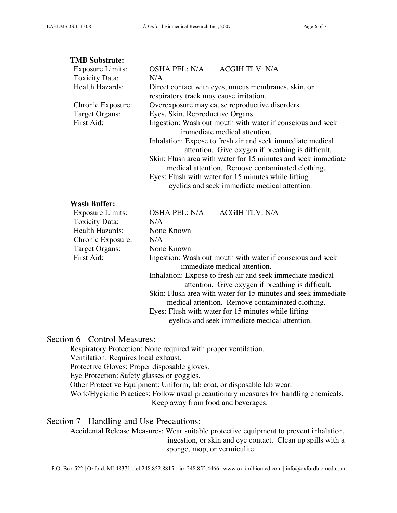#### **TMB Substrate:**

| <b>Exposure Limits:</b> | OSHA PEL: N/A<br><b>ACGIH TLV: N/A</b>                        |  |
|-------------------------|---------------------------------------------------------------|--|
| Toxicity Data:          | N/A                                                           |  |
| Health Hazards:         | Direct contact with eyes, mucus membranes, skin, or           |  |
|                         | respiratory track may cause irritation.                       |  |
| Chronic Exposure:       | Overexposure may cause reproductive disorders.                |  |
| Target Organs:          | Eyes, Skin, Reproductive Organs                               |  |
| First Aid:              | Ingestion: Wash out mouth with water if conscious and seek    |  |
|                         | immediate medical attention.                                  |  |
|                         | Inhalation: Expose to fresh air and seek immediate medical    |  |
|                         | attention. Give oxygen if breathing is difficult.             |  |
|                         | Skin: Flush area with water for 15 minutes and seek immediate |  |
|                         | medical attention. Remove contaminated clothing.              |  |
|                         | Eyes: Flush with water for 15 minutes while lifting           |  |
|                         | eyelids and seek immediate medical attention.                 |  |
|                         |                                                               |  |

### **Wash Buffer:**

| <b>Exposure Limits:</b> | OSHA PEL: N/A | <b>ACGIH TLV: N/A</b>                                         |
|-------------------------|---------------|---------------------------------------------------------------|
| <b>Toxicity Data:</b>   | N/A           |                                                               |
| Health Hazards:         | None Known    |                                                               |
| Chronic Exposure:       | N/A           |                                                               |
| Target Organs:          | None Known    |                                                               |
| First Aid:              |               | Ingestion: Wash out mouth with water if conscious and seek    |
|                         |               | immediate medical attention.                                  |
|                         |               | Inhalation: Expose to fresh air and seek immediate medical    |
|                         |               | attention. Give oxygen if breathing is difficult.             |
|                         |               | Skin: Flush area with water for 15 minutes and seek immediate |
|                         |               | medical attention. Remove contaminated clothing.              |
|                         |               | Eyes: Flush with water for 15 minutes while lifting           |
|                         |               | eyelids and seek immediate medical attention.                 |
|                         |               |                                                               |

# Section 6 - Control Measures:

Respiratory Protection: None required with proper ventilation. Ventilation: Requires local exhaust. Protective Gloves: Proper disposable gloves. Eye Protection: Safety glasses or goggles. Other Protective Equipment: Uniform, lab coat, or disposable lab wear. Work/Hygienic Practices: Follow usual precautionary measures for handling chemicals. Keep away from food and beverages.

# Section 7 - Handling and Use Precautions:

Accidental Release Measures: Wear suitable protective equipment to prevent inhalation, ingestion, or skin and eye contact. Clean up spills with a sponge, mop, or vermiculite.